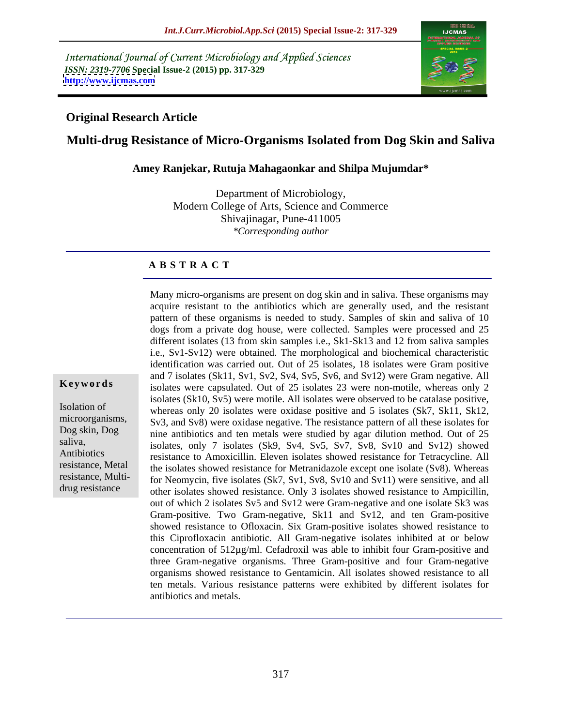International Journal of Current Microbiology and Applied Sciences *ISSN: 2319-7706* **Special Issue-2 (2015) pp. 317-329 <http://www.ijcmas.com>**



## **Original Research Article**

## **Multi-drug Resistance of Micro-Organisms Isolated from Dog Skin and Saliva**

**Amey Ranjekar, Rutuja Mahagaonkar and Shilpa Mujumdar\***

Department of Microbiology, Modern College of Arts, Science and Commerce Shivajinagar, Pune-411005 *\*Corresponding author*

## **A B S T R A C T**

Many micro-organisms are present on dog skin and in saliva. These organisms may acquire resistant to the antibiotics which are generally used, and the resistant pattern of these organisms is needed to study. Samples of skin and saliva of 10 dogs from a private dog house, were collected. Samples were processed and 25 different isolates (13 from skin samples i.e., Sk1-Sk13 and 12 from saliva samples i.e., Sv1-Sv12) were obtained. The morphological and biochemical characteristic identification was carried out. Out of 25 isolates, 18 isolates were Gram positive and 7 isolates (Sk11, Sv1, Sv2, Sv4, Sv5, Sv6, and Sv12) were Gram negative. All **Keywords** isolates were capsulated. Out of 25 isolates 23 were non-motile, whereas only 2 isolates (Sk10, Sv5) were motile. All isolates were observed to be catalase positive, Isolation of whereas only 20 isolates were oxidase positive and 5 isolates (Sk7, Sk11, Sk12, microorganisms, Sv3, and Sv8) were oxidase negative. The resistance pattern of all these isolates for nine antibiotics and ten metals were studied by agar dilution method. Out of 25 Dog skin, Dog saliva,<br>isolates, only 7 isolates (Sk9, Sv4, Sv5, Sv7, Sv8, Sv10 and Sv12) showed resistance to Amoxicillin. Eleven isolates showed resistance for Tetracycline. All Antibiotics resistance, Metal the isolates showed resistance for Metranidazole except one isolate (Sv8). Whereas resistance, Multi-<br>for Neomycin, five isolates (Sk7, Sv1, Sv8, Sv10 and Sv11) were sensitive, and all other isolates showed resistance. Only 3 isolates showed resistance to Ampicillin, out of which 2 isolates Sv5 and Sv12 were Gram-negative and one isolate Sk3 was Gram-positive. Two Gram-negative, Sk11 and Sv12, and ten Gram-positive showed resistance to Ofloxacin. Six Gram-positive isolates showed resistance to this Ciprofloxacin antibiotic. All Gram-negative isolates inhibited at or below concentration of 512µg/ml. Cefadroxil was able to inhibit four Gram-positive and three Gram-negative organisms. Three Gram-positive and four Gram-negative organisms showed resistance to Gentamicin. All isolates showed resistance to all ten metals. Various resistance patterns were exhibited by different isolates for antibiotics and metals.

drug resistance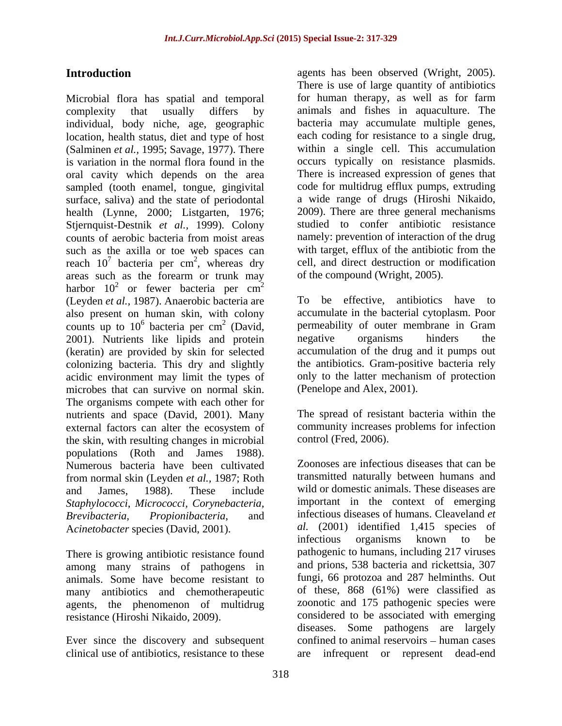complexity that usually differs by animals and fishes in aquaculture. The individual, body niche, age, geographic location, health status, diet and type of host (Salminen *et al.,* 1995; Savage, 1977). There is variation in the normal flora found in the oral cavity which depends on the area sampled (tooth enamel, tongue, gingivital surface, saliva) and the state of periodontal health (Lynne, 2000; Listgarten, 1976; Stjernquist-Destnik *et al.,* 1999). Colony counts of aerobic bacteria from moist areas such as the axilla or toe web spaces can reach  $10^7$  bacteria per cm<sup>2</sup>, whereas dry areas such as the forearm or trunk may harbor  $10^2$  or fewer bacteria per cm<sup>2</sup> or fewer bacteria per  $cm^2$  $2\overline{ }$ (Leyden *et al.,* 1987). Anaerobic bacteria are also present on human skin, with colony counts up to  $10^6$  bacteria per cm<sup>2</sup> (David, permeability of outer r 2001). Nutrients like lipids and protein negative organisms 2001). Nutrients like lipids and protein negative organisms hinders the (keratin) are provided by skin for selected colonizing bacteria. This dry and slightly the antibiotics. Gram-positive bacteria rely acidic environment may limit the types of microbes that can survive on normal skin. The organisms compete with each other for nutrients and space (David, 2001). Many external factors can alter the ecosystem of the skin, with resulting changes in microbial populations (Roth and James 1988). Numerous bacteria have been cultivated from normal skin (Leyden *et al.,* 1987; Roth and James, 1988). These include wild or domestic animals. These diseases are *Staphylococci*, *Micrococci, Corynebacteria, Brevibacteria, Propionibacteria*, and infectious diseases of humans. Cleaveland *et* 

There is growing antibiotic resistance found among many strains of pathogens in animals. Some have become resistant to many antibiotics and chemotherapeutic agents, the phenomenon of multidrug<br>resistance (Hiroshi Nikaido, 2009).

clinical use of antibiotics, resistance to these

Introduction agents has been observed (Wright, 2005). Microbial flora has spatial and temporal for human therapy, as well as for farm <sup>7</sup> bacteria per cm<sup>2</sup>, whereas dry cell, and direct destruction or modification There is use of large quantity of antibiotics for human therapy, as well as for farm bacteria may accumulate multiple genes, each coding for resistance to a single drug, within a single cell. This accumulation occurs typically on resistance plasmids. There is increased expression of genes that code for multidrug efflux pumps, extruding a wide range of drugs (Hiroshi Nikaido, 2009). There are three general mechanisms studied to confer antibiotic resistance namely: prevention of interaction of the drug with target, efflux of the antibiotic from the of the compound (Wright, 2005).

<sup>6</sup> bacteria per cm<sup>2</sup> (David, permeability of outer membrane in Gram To be effective, antibiotics have to accumulate in the bacterial cytoplasm. Poor negative organisms hinders the accumulation of the drug and it pumps out only to the latter mechanism of protection (Penelope and Alex, 2001).

The spread of resistant bacteria within the community increases problems for infection control (Fred, 2006).

Acinetobacter species (David, 2001). al. (2001) identified 1,415 species of infectious organisms known to be resistance (Hiroshi Nikaido, 2009). considered to be associated with emerging Ever since the discovery and subsequent confined to animal reservoirs – human cases Zoonoses are infectious diseases that can be transmitted naturally between humans and important in the context of emerging *al.* (2001) identified 1,415 species of infectious organisms known to be pathogenic to humans, including 217 viruses and prions, 538 bacteria and rickettsia, 307 fungi, 66 protozoa and 287 helminths. Out of these, 868 (61%) were classified as zoonotic and 175 pathogenic species were diseases. Some pathogens are largely infrequent or represent dead-end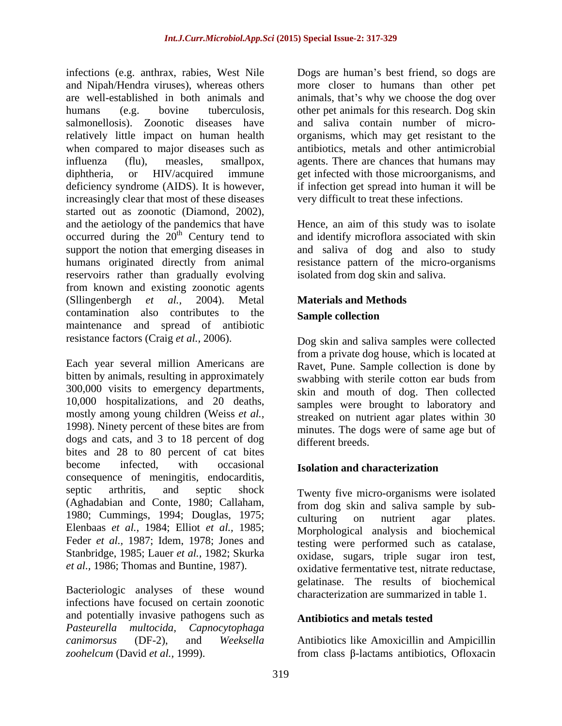infections (e.g. anthrax, rabies, West Nile Dogs are human's best friend, so dogs are and Nipah/Hendra viruses), whereas others more closer to humans than other pet are well-established in both animals and animals, that's why we choose the dog over humans (e.g. bovine tuberculosis, other pet animals for this research. Dog skin salmonellosis). Zoonotic diseases have and saliva contain number of micro relatively little impact on human health organisms, which may get resistant to the when compared to major diseases such as antibiotics, metals and other antimicrobial influenza (flu), measles, smallpox, agents. There are chances that humans may diphtheria, or HIV/acquired immune get infected with those microorganisms, and deficiency syndrome (AIDS). It is however, if infection get spread into human it will be increasingly clear that most of these diseases started out as zoonotic (Diamond, 2002), and the aetiology of the pandemics that have Hence, an aim of this study was to isolate occurred during the  $20<sup>th</sup>$  Century tend to support the notion that emerging diseases in support the notion that emerging diseases in and saliva of dog and also to study humans originated directly from animal resistance pattern of the micro-organisms reservoirs rather than gradually evolving from known and existing zoonotic agents (Sllingenbergh *et al.,* 2004). Metal **Materials and Methods** contamination also contributes to the **Sample collection** maintenance and spread of antibiotic resistance factors (Craig *et al.,* 2006).

Each year several million Americans are bitten by animals, resulting in approximately swabbing with sterile cotton ear buds from 300,000 visits to emergency departments, 10,000 hospitalizations, and 20 deaths, mostly among young children (Weiss *et al.,* 1998). Ninety percent of these bites are from dogs and cats, and 3 to 18 percent of dog different breeds. bites and 28 to 80 percent of cat bites become infected, with occasional **Isolation and characterization** consequence of meningitis, endocarditis, septic arthritis, and septic shock Twenty five micro-organisms were isolated (Aghadabian and Conte, 1980; Callaham, from dog skin and saliva sample by sub- 1980; Cummings, 1994; Douglas, 1975; culturing on nutrient agar plates. Elenbaas *et al.,* 1984; Elliot *et al.,* 1985; Feder *et al.,* 1987; Idem, 1978; Jones and Stanbridge, 1985; Lauer *et al.,* 1982; Skurka

Bacteriologic analyses of these wound infections have focused on certain zoonotic and potentially invasive pathogens such as **Antibiotics and metals tested** *Pasteurella multocida, Capnocytophaga canimorsus* (DF-2), and *Weeksella*  Antibiotics like Amoxicillin and Ampicillin *zoohelcum* (David *et al.,* 1999). from class β-lactams antibiotics, Ofloxacin

very difficult to treat these infections.

<sup>th</sup> Century tend to and identify microflora associated with skin isolated from dog skin and saliva.

# **Sample collection**

Dog skin and saliva samples were collected from a private dog house, which is located at Ravet, Pune. Sample collection is done by swabbing with sterile cotton ear buds from skin and mouth of dog. Then collected samples were brought to laboratory and streaked on nutrient agar plates within 30 minutes. The dogs were of same age but of different breeds.

## **Isolation and characterization**

*et al.,* 1986; Thomas and Buntine, 1987). oxidative fermentative test, nitrate reductase, culturing on nutrient agar plates. Morphological analysis and biochemical testing were performed such as catalase, oxidase, sugars, triple sugar iron test, gelatinase. The results of biochemical characterization are summarized in table 1.

## **Antibiotics and metals tested**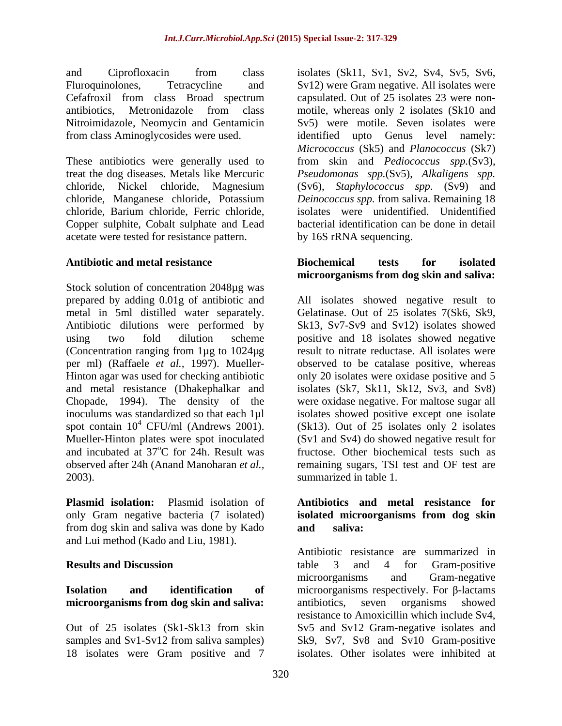Nitroimidazole, Neomycin and Gentamicin from class Aminoglycosides were used.

chloride, Barium chloride, Ferric chloride, Copper sulphite, Cobalt sulphate and Lead acetate were tested for resistance pattern.

Stock solution of concentration 2048µg was metal in 5ml distilled water separately.

**Plasmid isolation:** Plasmid isolation of **Antibiotics and metal resistance for** only Gram negative bacteria (7 isolated) **isolated microorganisms from dog skin** from dog skin and saliva was done by Kado and Lui method (Kado and Liu, 1981).

## **microorganisms from dog skin and saliva:**

18 isolates were Gram positive and 7

and Ciprofloxacin from class isolates (Sk11, Sv1, Sv2, Sv4, Sv5, Sv6, Fluroquinolones, Tetracycline and Sv12) were Gram negative. All isolates were Cefafroxil from class Broad spectrum capsulated. Out of 25 isolates 23 were nonantibiotics, Metronidazole from class motile, whereas only 2 isolates (Sk10 and These antibiotics were generally used to from skin and *Pediococcus spp.*(Sv3), treat the dog diseases. Metals like Mercuric *Pseudomonas spp.*(Sv5), *Alkaligens spp.* chloride, Nickel chloride, Magnesium (Sv6), *Staphylococcus spp.* (Sv9) and chloride, Manganese chloride, Potassium *Deinococcus spp.* from saliva. Remaining 18 capsulated. Out of 25 isolates 23 were non- Sv5) were motile. Seven isolates were identified upto Genus level namely: *Micrococcus* (Sk5) and *Planococcus* (Sk7) isolates were unidentified. Unidentified bacterial identification can be done in detail by 16S rRNA sequencing.

### **Antibiotic and metal resistance Biochemical tests for isolated microorganisms from dog skin and saliva:**

prepared by adding 0.01g of antibiotic and All isolates showed negative result to Antibiotic dilutions were performed by Sk13, Sv7-Sv9 and Sv12) isolates showed using two fold dilution scheme positive and 18 isolates showed negative (Concentration ranging from 1µg to 1024µg result to nitrate reductase. All isolates were per ml) (Raffaele *et al.,* 1997). Mueller- observed to be catalase positive, whereas Hinton agar was used for checking antibiotic only 20 isolates were oxidase positive and 5 and metal resistance (Dhakephalkar and isolates (Sk7, Sk11, Sk12, Sv3, and Sv8) Chopade, 1994). The density of the were oxidase negative. For maltose sugar all inoculums was standardized so that each 1µl isolates showed positive except one isolate spot contain  $10^4$  CFU/ml (Andrews 2001). (Sk13). Out of  $25$  isolates only 2 isolates Mueller-Hinton plates were spot inoculated (Sv1 and Sv4) do showed negative result for and incubated at 37<sup>o</sup>C for 24h. Result was fructose. Other biochemical tests such as observed after 24h (Anand Manoharan *et al.,* remaining sugars, TSI test and OF test are 2003). summarized in table 1. Gelatinase. Out of 25 isolates 7(Sk6, Sk9,

# **and saliva:**

**Results and Discussion Example 1** and 4 and 4 for Gram-positive **Isolation** and **identification of** microorganisms respectively. For β-lactams Out of 25 isolates (Sk1-Sk13 from skin Sv5 and Sv12 Gram-negative isolates and samples and Sv1-Sv12 from saliva samples) Sk9, Sv7, Sv8 and Sv10 Gram-positive Antibiotic resistance are summarized in table 3 and 4 for Gram-positive microorganisms and Gram-negative antibiotics, seven organisms showed resistance to Amoxicillin which include Sv4, isolates. Other isolates were inhibited at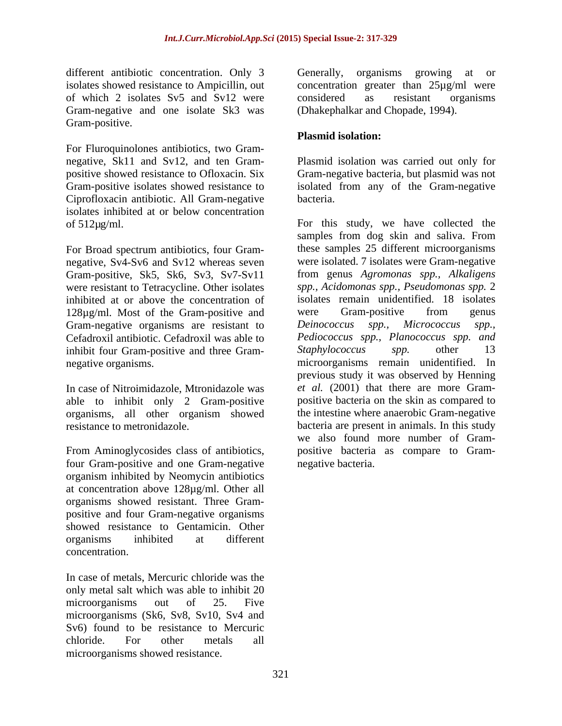different antibiotic concentration. Only 3 Generally, organisms growing at or isolates showed resistance to Ampicillin, out concentration greater than 25µg/ml were of which 2 isolates Sv5 and Sv12 were considered as resistant organisms Gram-negative and one isolate Sk3 was Gram-positive.

For Fluroquinolones antibiotics, two Gram- Ciprofloxacin antibiotic. All Gram-negative isolates inhibited at or below concentration

For Broad spectrum antibiotics, four Gram negative, Sv4-Sv6 and Sv12 whereas seven Gram-positive, Sk5, Sk6, Sv3, Sv7-Sv11 inhibited at or above the concentration of 128µg/ml. Most of the Gram-positive and were Gram-positive from genus Gram-negative organisms are resistant to Deinococcus spp., Micrococcus spp., inhibit four Gram-positive and three Gram-<br>Staphylococcus spp. other 13

In case of Nitroimidazole, Mtronidazole was able to inhibit only 2 Gram-positive organisms, all other organism showed

From Aminoglycosides class of antibiotics, four Gram-positive and one Gram-negative organism inhibited by Neomycin antibiotics at concentration above 128µg/ml. Other all organisms showed resistant. Three Gram positive and four Gram-negative organisms showed resistance to Gentamicin. Other organisms inhibited at different concentration.

In case of metals, Mercuric chloride was the only metal salt which was able to inhibit 20 microorganisms out of 25. Five microorganisms (Sk6, Sv8, Sv10, Sv4 and Sv6) found to be resistance to Mercuric chloride. For other metals all microorganisms showed resistance.

Generally, organisms growing at or considered as resistant organisms (Dhakephalkar and Chopade, 1994).

## **Plasmid isolation:**

negative, Sk11 and Sv12, and ten Gram- Plasmid isolation was carried out only for positive showed resistance to Ofloxacin. Six Gram-negative bacteria, but plasmid was not Gram-positive isolates showed resistance to isolated from any of the Gram-negative bacteria.

of 512µg/ml. For this study, we have collected the were resistant to Tetracycline. Other isolates *spp., Acidomonas spp., Pseudomonas spp.* 2 Cefadroxil antibiotic. Cefadroxil was able to *Pediococcus spp., Planococcus spp. and* negative organisms. microorganisms remain unidentified. In resistance to metronidazole. bacteria are present in animals.In this study samples from dog skin and saliva. From these samples 25 different microorganisms were isolated. 7 isolates were Gram-negative from genus *Agromonas spp., Alkaligens* isolates remain unidentified. 18 isolates were Gram-positive from genus *Deinococcus spp., Micrococcus spp., Staphylococcus spp.* other 13 previous study it was observed by Henning *et al.* (2001) that there are more Gram positive bacteria on the skin as compared to the intestine where anaerobic Gram-negative we also found more number of Gram positive bacteria as compare to Gram negative bacteria.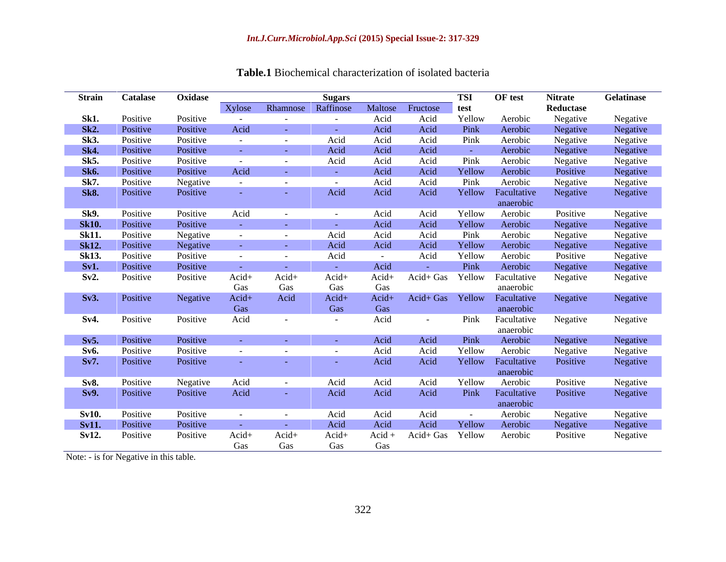| Xylose Rhamnose Raffinose Maltose Fructose test<br>Reductase<br>Acid<br>Acid<br>Yellow<br>Aerobic<br>Negative<br>Negative<br>Sk1.<br>Positive<br>Positive<br><b>State State</b><br><b>Contract Contract</b><br><b>Contract Contract</b><br>Negative<br>Acid<br>Pink<br>Aerobic<br>Sk2.<br>Positive<br>Acid<br>Acid<br>Negative<br>Positive<br><b>Common</b><br>Acid<br>Pink<br>Aerobic<br>Negative<br>Negative<br>Negative<br>Positive<br>Acid<br>Acid<br>Sk3.<br>Positive<br>Negative<br>Aerobic<br>Positive<br>Acid<br>Acid<br>Acid<br><b>Sk4.</b><br>Positive<br>the company of the company<br>Pink<br>Sk5.<br>Acid<br>Aerobic<br>Negative<br>Negative<br>Negative<br>Acid<br>Acid<br>Positive<br>Positive<br>$\sim 100$ m $^{-1}$<br>$\sim 100$ km s $^{-1}$<br>Positive<br>Yellow<br>Aerobic<br>Positive<br>Acid<br>Acid<br>Acid<br><b>Sk6.</b><br>Positive<br><b>State State</b><br><b>Common</b><br>Sk7.<br>Negative<br>Negative<br>Pink<br>Negative<br>Acid<br>Acid<br>Aerobic<br>Positive<br><b>Contract</b><br>$\sim$ $ \sim$<br><b>Contract Contract</b><br>Acid<br>Yellow Facultative<br>Positive<br>Acid<br>Acid<br>Negative<br>Positive<br>Negative<br><b>Sk8.</b><br><b>State State</b><br>anaerobic<br>Sk9.<br>Positive<br>Negative<br>Negative<br>Positive<br>Acid<br>Acid<br>Yellow<br>Aerobic<br>Positive<br>Acid<br>$\sim$ $ \sim$<br>Negative<br><b>Sk10.</b><br>Positive<br>Acid<br>Yellow<br>Aerobic<br>Acid<br>Positive<br><b>Service Control</b><br><b>State State</b><br><b>State State</b><br>Negative<br>Negative<br>Negative<br>Pink<br>Negative<br>Acid<br>Acid<br>Acid<br>Aerobic<br><b>Sk11.</b><br>Positive<br>$\sim 100$ m $^{-1}$<br>$\sim$ 100 $\sim$<br>Negative<br>Yellow<br><b>Sk12.</b><br>Acid<br>Acid<br>Aerobic<br>Negative<br>Acid<br>Positive<br><b>Common</b><br><b>Contract</b><br><b>Sk13.</b><br>Acid<br>Yellow<br>Aerobic<br>Positive<br>Negative<br>Negative<br>Positive<br>Acid<br>Positive<br><b>Common</b><br><b>Contract Contract</b><br><b>Contract Contract</b><br>Pink<br>Aerobic<br>Negative<br>Positive<br>Sv1.<br>Acid<br>Positive<br><b>Common</b><br><b>Common</b><br>Acid+ Gas Yellow Facultative<br>Acid+<br>Acid+<br>Acid+<br>Acid+<br>Sv2.<br>Positive<br>Positive<br>Negative<br>Negative<br>Gas<br>Gas<br>Gas<br>Gas<br>anaerobic<br>Acid+ Gas Yellow Facultative<br>Negative<br>Acid+<br>Acid<br>Acid+<br>$Acid+$<br>Negative<br>Negative<br>Positive<br>Sv3.<br>Gas<br>Gas<br>anaerobic<br>Gas<br>Acid<br>Pink Facultative<br>Acid<br>Negative<br>Negative<br>Positive<br>Positive<br>Sv4.<br><b>Contract Contract</b><br>$\sim$ $-$<br><b>Contract Contract</b><br>anaerobic<br>Aerobic<br>Negative<br>Negative<br>Positive<br>Acid<br>Acid<br>Pink<br>Sv5.<br>Positive<br>Yellow<br>Negative<br>Negative<br>Negative<br>Positive<br>Acid<br>Acid<br>Aerobic<br><b>Sv6.</b><br>Positive<br>Positive<br>Positive<br>Acid<br>Acid<br>Yellow Facultative<br>Sv7. Positive<br>anaerobic<br>Aerobic<br>Acid<br>Yellow<br>Sv8.<br>Positive<br>Negative<br>Acid<br>Acid<br>Positive<br>Negative<br>Acid<br>$\sim$<br>Positive<br>Acid<br>Pink Facultative<br>Acid<br>Acid<br>Acid<br>Negative<br>Positive<br>Positive<br>Sv9.<br><b>Common</b><br>anaerobic<br>Acid<br>Acid<br>Aerobic<br>Negative<br>Sv10.<br>Positive<br>Positive<br>Acid<br>Negative<br><b>Contract Contract</b><br>$\sim$<br>Positive<br>Acid<br>Acid<br>Acid<br>Yellow<br>Aerobic<br>Negative<br>Negative<br><b>Sv11.</b><br>Positive<br><b>State State</b><br><b>Common</b><br>Acid+<br>Acid+<br>Sv12.<br>Positive<br>Acid+<br>Acid+ Gas Yellow<br>Negative<br>Positive<br>Acid +<br>Aerobic<br>Positive | Strain | <b>Catalase</b> | Oxidase |     |     | <b>Sugars</b> |     | <b>TSI</b> | OF test | <b>Nitrate</b> | Gelatinase |
|-------------------------------------------------------------------------------------------------------------------------------------------------------------------------------------------------------------------------------------------------------------------------------------------------------------------------------------------------------------------------------------------------------------------------------------------------------------------------------------------------------------------------------------------------------------------------------------------------------------------------------------------------------------------------------------------------------------------------------------------------------------------------------------------------------------------------------------------------------------------------------------------------------------------------------------------------------------------------------------------------------------------------------------------------------------------------------------------------------------------------------------------------------------------------------------------------------------------------------------------------------------------------------------------------------------------------------------------------------------------------------------------------------------------------------------------------------------------------------------------------------------------------------------------------------------------------------------------------------------------------------------------------------------------------------------------------------------------------------------------------------------------------------------------------------------------------------------------------------------------------------------------------------------------------------------------------------------------------------------------------------------------------------------------------------------------------------------------------------------------------------------------------------------------------------------------------------------------------------------------------------------------------------------------------------------------------------------------------------------------------------------------------------------------------------------------------------------------------------------------------------------------------------------------------------------------------------------------------------------------------------------------------------------------------------------------------------------------------------------------------------------------------------------------------------------------------------------------------------------------------------------------------------------------------------------------------------------------------------------------------------------------------------------------------------------------------------------------------------------------------------------------------------------------------------------------------------------------------------------------------------------------------------------------------------------------------------------------------------------------------------------------------------------------------------------------------------------------------------------------------------------------------------------------------------------------------------------------------------------------------------------------------|--------|-----------------|---------|-----|-----|---------------|-----|------------|---------|----------------|------------|
|                                                                                                                                                                                                                                                                                                                                                                                                                                                                                                                                                                                                                                                                                                                                                                                                                                                                                                                                                                                                                                                                                                                                                                                                                                                                                                                                                                                                                                                                                                                                                                                                                                                                                                                                                                                                                                                                                                                                                                                                                                                                                                                                                                                                                                                                                                                                                                                                                                                                                                                                                                                                                                                                                                                                                                                                                                                                                                                                                                                                                                                                                                                                                                                                                                                                                                                                                                                                                                                                                                                                                                                                                                                 |        |                 |         |     |     |               |     |            |         |                |            |
|                                                                                                                                                                                                                                                                                                                                                                                                                                                                                                                                                                                                                                                                                                                                                                                                                                                                                                                                                                                                                                                                                                                                                                                                                                                                                                                                                                                                                                                                                                                                                                                                                                                                                                                                                                                                                                                                                                                                                                                                                                                                                                                                                                                                                                                                                                                                                                                                                                                                                                                                                                                                                                                                                                                                                                                                                                                                                                                                                                                                                                                                                                                                                                                                                                                                                                                                                                                                                                                                                                                                                                                                                                                 |        |                 |         |     |     |               |     |            |         |                |            |
|                                                                                                                                                                                                                                                                                                                                                                                                                                                                                                                                                                                                                                                                                                                                                                                                                                                                                                                                                                                                                                                                                                                                                                                                                                                                                                                                                                                                                                                                                                                                                                                                                                                                                                                                                                                                                                                                                                                                                                                                                                                                                                                                                                                                                                                                                                                                                                                                                                                                                                                                                                                                                                                                                                                                                                                                                                                                                                                                                                                                                                                                                                                                                                                                                                                                                                                                                                                                                                                                                                                                                                                                                                                 |        |                 |         |     |     |               |     |            |         |                |            |
|                                                                                                                                                                                                                                                                                                                                                                                                                                                                                                                                                                                                                                                                                                                                                                                                                                                                                                                                                                                                                                                                                                                                                                                                                                                                                                                                                                                                                                                                                                                                                                                                                                                                                                                                                                                                                                                                                                                                                                                                                                                                                                                                                                                                                                                                                                                                                                                                                                                                                                                                                                                                                                                                                                                                                                                                                                                                                                                                                                                                                                                                                                                                                                                                                                                                                                                                                                                                                                                                                                                                                                                                                                                 |        |                 |         |     |     |               |     |            |         |                |            |
|                                                                                                                                                                                                                                                                                                                                                                                                                                                                                                                                                                                                                                                                                                                                                                                                                                                                                                                                                                                                                                                                                                                                                                                                                                                                                                                                                                                                                                                                                                                                                                                                                                                                                                                                                                                                                                                                                                                                                                                                                                                                                                                                                                                                                                                                                                                                                                                                                                                                                                                                                                                                                                                                                                                                                                                                                                                                                                                                                                                                                                                                                                                                                                                                                                                                                                                                                                                                                                                                                                                                                                                                                                                 |        |                 |         |     |     |               |     |            |         |                |            |
|                                                                                                                                                                                                                                                                                                                                                                                                                                                                                                                                                                                                                                                                                                                                                                                                                                                                                                                                                                                                                                                                                                                                                                                                                                                                                                                                                                                                                                                                                                                                                                                                                                                                                                                                                                                                                                                                                                                                                                                                                                                                                                                                                                                                                                                                                                                                                                                                                                                                                                                                                                                                                                                                                                                                                                                                                                                                                                                                                                                                                                                                                                                                                                                                                                                                                                                                                                                                                                                                                                                                                                                                                                                 |        |                 |         |     |     |               |     |            |         |                |            |
|                                                                                                                                                                                                                                                                                                                                                                                                                                                                                                                                                                                                                                                                                                                                                                                                                                                                                                                                                                                                                                                                                                                                                                                                                                                                                                                                                                                                                                                                                                                                                                                                                                                                                                                                                                                                                                                                                                                                                                                                                                                                                                                                                                                                                                                                                                                                                                                                                                                                                                                                                                                                                                                                                                                                                                                                                                                                                                                                                                                                                                                                                                                                                                                                                                                                                                                                                                                                                                                                                                                                                                                                                                                 |        |                 |         |     |     |               |     |            |         |                |            |
|                                                                                                                                                                                                                                                                                                                                                                                                                                                                                                                                                                                                                                                                                                                                                                                                                                                                                                                                                                                                                                                                                                                                                                                                                                                                                                                                                                                                                                                                                                                                                                                                                                                                                                                                                                                                                                                                                                                                                                                                                                                                                                                                                                                                                                                                                                                                                                                                                                                                                                                                                                                                                                                                                                                                                                                                                                                                                                                                                                                                                                                                                                                                                                                                                                                                                                                                                                                                                                                                                                                                                                                                                                                 |        |                 |         |     |     |               |     |            |         |                |            |
|                                                                                                                                                                                                                                                                                                                                                                                                                                                                                                                                                                                                                                                                                                                                                                                                                                                                                                                                                                                                                                                                                                                                                                                                                                                                                                                                                                                                                                                                                                                                                                                                                                                                                                                                                                                                                                                                                                                                                                                                                                                                                                                                                                                                                                                                                                                                                                                                                                                                                                                                                                                                                                                                                                                                                                                                                                                                                                                                                                                                                                                                                                                                                                                                                                                                                                                                                                                                                                                                                                                                                                                                                                                 |        |                 |         |     |     |               |     |            |         |                |            |
|                                                                                                                                                                                                                                                                                                                                                                                                                                                                                                                                                                                                                                                                                                                                                                                                                                                                                                                                                                                                                                                                                                                                                                                                                                                                                                                                                                                                                                                                                                                                                                                                                                                                                                                                                                                                                                                                                                                                                                                                                                                                                                                                                                                                                                                                                                                                                                                                                                                                                                                                                                                                                                                                                                                                                                                                                                                                                                                                                                                                                                                                                                                                                                                                                                                                                                                                                                                                                                                                                                                                                                                                                                                 |        |                 |         |     |     |               |     |            |         |                |            |
|                                                                                                                                                                                                                                                                                                                                                                                                                                                                                                                                                                                                                                                                                                                                                                                                                                                                                                                                                                                                                                                                                                                                                                                                                                                                                                                                                                                                                                                                                                                                                                                                                                                                                                                                                                                                                                                                                                                                                                                                                                                                                                                                                                                                                                                                                                                                                                                                                                                                                                                                                                                                                                                                                                                                                                                                                                                                                                                                                                                                                                                                                                                                                                                                                                                                                                                                                                                                                                                                                                                                                                                                                                                 |        |                 |         |     |     |               |     |            |         |                |            |
|                                                                                                                                                                                                                                                                                                                                                                                                                                                                                                                                                                                                                                                                                                                                                                                                                                                                                                                                                                                                                                                                                                                                                                                                                                                                                                                                                                                                                                                                                                                                                                                                                                                                                                                                                                                                                                                                                                                                                                                                                                                                                                                                                                                                                                                                                                                                                                                                                                                                                                                                                                                                                                                                                                                                                                                                                                                                                                                                                                                                                                                                                                                                                                                                                                                                                                                                                                                                                                                                                                                                                                                                                                                 |        |                 |         |     |     |               |     |            |         |                |            |
|                                                                                                                                                                                                                                                                                                                                                                                                                                                                                                                                                                                                                                                                                                                                                                                                                                                                                                                                                                                                                                                                                                                                                                                                                                                                                                                                                                                                                                                                                                                                                                                                                                                                                                                                                                                                                                                                                                                                                                                                                                                                                                                                                                                                                                                                                                                                                                                                                                                                                                                                                                                                                                                                                                                                                                                                                                                                                                                                                                                                                                                                                                                                                                                                                                                                                                                                                                                                                                                                                                                                                                                                                                                 |        |                 |         |     |     |               |     |            |         |                |            |
|                                                                                                                                                                                                                                                                                                                                                                                                                                                                                                                                                                                                                                                                                                                                                                                                                                                                                                                                                                                                                                                                                                                                                                                                                                                                                                                                                                                                                                                                                                                                                                                                                                                                                                                                                                                                                                                                                                                                                                                                                                                                                                                                                                                                                                                                                                                                                                                                                                                                                                                                                                                                                                                                                                                                                                                                                                                                                                                                                                                                                                                                                                                                                                                                                                                                                                                                                                                                                                                                                                                                                                                                                                                 |        |                 |         |     |     |               |     |            |         |                |            |
|                                                                                                                                                                                                                                                                                                                                                                                                                                                                                                                                                                                                                                                                                                                                                                                                                                                                                                                                                                                                                                                                                                                                                                                                                                                                                                                                                                                                                                                                                                                                                                                                                                                                                                                                                                                                                                                                                                                                                                                                                                                                                                                                                                                                                                                                                                                                                                                                                                                                                                                                                                                                                                                                                                                                                                                                                                                                                                                                                                                                                                                                                                                                                                                                                                                                                                                                                                                                                                                                                                                                                                                                                                                 |        |                 |         |     |     |               |     |            |         |                |            |
|                                                                                                                                                                                                                                                                                                                                                                                                                                                                                                                                                                                                                                                                                                                                                                                                                                                                                                                                                                                                                                                                                                                                                                                                                                                                                                                                                                                                                                                                                                                                                                                                                                                                                                                                                                                                                                                                                                                                                                                                                                                                                                                                                                                                                                                                                                                                                                                                                                                                                                                                                                                                                                                                                                                                                                                                                                                                                                                                                                                                                                                                                                                                                                                                                                                                                                                                                                                                                                                                                                                                                                                                                                                 |        |                 |         |     |     |               |     |            |         |                |            |
|                                                                                                                                                                                                                                                                                                                                                                                                                                                                                                                                                                                                                                                                                                                                                                                                                                                                                                                                                                                                                                                                                                                                                                                                                                                                                                                                                                                                                                                                                                                                                                                                                                                                                                                                                                                                                                                                                                                                                                                                                                                                                                                                                                                                                                                                                                                                                                                                                                                                                                                                                                                                                                                                                                                                                                                                                                                                                                                                                                                                                                                                                                                                                                                                                                                                                                                                                                                                                                                                                                                                                                                                                                                 |        |                 |         |     |     |               |     |            |         |                |            |
|                                                                                                                                                                                                                                                                                                                                                                                                                                                                                                                                                                                                                                                                                                                                                                                                                                                                                                                                                                                                                                                                                                                                                                                                                                                                                                                                                                                                                                                                                                                                                                                                                                                                                                                                                                                                                                                                                                                                                                                                                                                                                                                                                                                                                                                                                                                                                                                                                                                                                                                                                                                                                                                                                                                                                                                                                                                                                                                                                                                                                                                                                                                                                                                                                                                                                                                                                                                                                                                                                                                                                                                                                                                 |        |                 |         |     |     |               |     |            |         |                |            |
|                                                                                                                                                                                                                                                                                                                                                                                                                                                                                                                                                                                                                                                                                                                                                                                                                                                                                                                                                                                                                                                                                                                                                                                                                                                                                                                                                                                                                                                                                                                                                                                                                                                                                                                                                                                                                                                                                                                                                                                                                                                                                                                                                                                                                                                                                                                                                                                                                                                                                                                                                                                                                                                                                                                                                                                                                                                                                                                                                                                                                                                                                                                                                                                                                                                                                                                                                                                                                                                                                                                                                                                                                                                 |        |                 |         |     |     |               |     |            |         |                |            |
|                                                                                                                                                                                                                                                                                                                                                                                                                                                                                                                                                                                                                                                                                                                                                                                                                                                                                                                                                                                                                                                                                                                                                                                                                                                                                                                                                                                                                                                                                                                                                                                                                                                                                                                                                                                                                                                                                                                                                                                                                                                                                                                                                                                                                                                                                                                                                                                                                                                                                                                                                                                                                                                                                                                                                                                                                                                                                                                                                                                                                                                                                                                                                                                                                                                                                                                                                                                                                                                                                                                                                                                                                                                 |        |                 |         |     |     |               |     |            |         |                |            |
|                                                                                                                                                                                                                                                                                                                                                                                                                                                                                                                                                                                                                                                                                                                                                                                                                                                                                                                                                                                                                                                                                                                                                                                                                                                                                                                                                                                                                                                                                                                                                                                                                                                                                                                                                                                                                                                                                                                                                                                                                                                                                                                                                                                                                                                                                                                                                                                                                                                                                                                                                                                                                                                                                                                                                                                                                                                                                                                                                                                                                                                                                                                                                                                                                                                                                                                                                                                                                                                                                                                                                                                                                                                 |        |                 |         |     |     |               |     |            |         |                |            |
|                                                                                                                                                                                                                                                                                                                                                                                                                                                                                                                                                                                                                                                                                                                                                                                                                                                                                                                                                                                                                                                                                                                                                                                                                                                                                                                                                                                                                                                                                                                                                                                                                                                                                                                                                                                                                                                                                                                                                                                                                                                                                                                                                                                                                                                                                                                                                                                                                                                                                                                                                                                                                                                                                                                                                                                                                                                                                                                                                                                                                                                                                                                                                                                                                                                                                                                                                                                                                                                                                                                                                                                                                                                 |        |                 |         |     |     |               |     |            |         |                |            |
|                                                                                                                                                                                                                                                                                                                                                                                                                                                                                                                                                                                                                                                                                                                                                                                                                                                                                                                                                                                                                                                                                                                                                                                                                                                                                                                                                                                                                                                                                                                                                                                                                                                                                                                                                                                                                                                                                                                                                                                                                                                                                                                                                                                                                                                                                                                                                                                                                                                                                                                                                                                                                                                                                                                                                                                                                                                                                                                                                                                                                                                                                                                                                                                                                                                                                                                                                                                                                                                                                                                                                                                                                                                 |        |                 |         |     |     |               |     |            |         |                |            |
|                                                                                                                                                                                                                                                                                                                                                                                                                                                                                                                                                                                                                                                                                                                                                                                                                                                                                                                                                                                                                                                                                                                                                                                                                                                                                                                                                                                                                                                                                                                                                                                                                                                                                                                                                                                                                                                                                                                                                                                                                                                                                                                                                                                                                                                                                                                                                                                                                                                                                                                                                                                                                                                                                                                                                                                                                                                                                                                                                                                                                                                                                                                                                                                                                                                                                                                                                                                                                                                                                                                                                                                                                                                 |        |                 |         |     |     |               |     |            |         |                |            |
|                                                                                                                                                                                                                                                                                                                                                                                                                                                                                                                                                                                                                                                                                                                                                                                                                                                                                                                                                                                                                                                                                                                                                                                                                                                                                                                                                                                                                                                                                                                                                                                                                                                                                                                                                                                                                                                                                                                                                                                                                                                                                                                                                                                                                                                                                                                                                                                                                                                                                                                                                                                                                                                                                                                                                                                                                                                                                                                                                                                                                                                                                                                                                                                                                                                                                                                                                                                                                                                                                                                                                                                                                                                 |        |                 |         |     |     |               |     |            |         |                |            |
|                                                                                                                                                                                                                                                                                                                                                                                                                                                                                                                                                                                                                                                                                                                                                                                                                                                                                                                                                                                                                                                                                                                                                                                                                                                                                                                                                                                                                                                                                                                                                                                                                                                                                                                                                                                                                                                                                                                                                                                                                                                                                                                                                                                                                                                                                                                                                                                                                                                                                                                                                                                                                                                                                                                                                                                                                                                                                                                                                                                                                                                                                                                                                                                                                                                                                                                                                                                                                                                                                                                                                                                                                                                 |        |                 |         |     |     |               |     |            |         |                |            |
|                                                                                                                                                                                                                                                                                                                                                                                                                                                                                                                                                                                                                                                                                                                                                                                                                                                                                                                                                                                                                                                                                                                                                                                                                                                                                                                                                                                                                                                                                                                                                                                                                                                                                                                                                                                                                                                                                                                                                                                                                                                                                                                                                                                                                                                                                                                                                                                                                                                                                                                                                                                                                                                                                                                                                                                                                                                                                                                                                                                                                                                                                                                                                                                                                                                                                                                                                                                                                                                                                                                                                                                                                                                 |        |                 |         |     |     |               |     |            |         |                |            |
|                                                                                                                                                                                                                                                                                                                                                                                                                                                                                                                                                                                                                                                                                                                                                                                                                                                                                                                                                                                                                                                                                                                                                                                                                                                                                                                                                                                                                                                                                                                                                                                                                                                                                                                                                                                                                                                                                                                                                                                                                                                                                                                                                                                                                                                                                                                                                                                                                                                                                                                                                                                                                                                                                                                                                                                                                                                                                                                                                                                                                                                                                                                                                                                                                                                                                                                                                                                                                                                                                                                                                                                                                                                 |        |                 |         |     |     |               |     |            |         |                |            |
|                                                                                                                                                                                                                                                                                                                                                                                                                                                                                                                                                                                                                                                                                                                                                                                                                                                                                                                                                                                                                                                                                                                                                                                                                                                                                                                                                                                                                                                                                                                                                                                                                                                                                                                                                                                                                                                                                                                                                                                                                                                                                                                                                                                                                                                                                                                                                                                                                                                                                                                                                                                                                                                                                                                                                                                                                                                                                                                                                                                                                                                                                                                                                                                                                                                                                                                                                                                                                                                                                                                                                                                                                                                 |        |                 |         |     |     |               |     |            |         |                |            |
|                                                                                                                                                                                                                                                                                                                                                                                                                                                                                                                                                                                                                                                                                                                                                                                                                                                                                                                                                                                                                                                                                                                                                                                                                                                                                                                                                                                                                                                                                                                                                                                                                                                                                                                                                                                                                                                                                                                                                                                                                                                                                                                                                                                                                                                                                                                                                                                                                                                                                                                                                                                                                                                                                                                                                                                                                                                                                                                                                                                                                                                                                                                                                                                                                                                                                                                                                                                                                                                                                                                                                                                                                                                 |        |                 |         |     |     |               |     |            |         |                |            |
|                                                                                                                                                                                                                                                                                                                                                                                                                                                                                                                                                                                                                                                                                                                                                                                                                                                                                                                                                                                                                                                                                                                                                                                                                                                                                                                                                                                                                                                                                                                                                                                                                                                                                                                                                                                                                                                                                                                                                                                                                                                                                                                                                                                                                                                                                                                                                                                                                                                                                                                                                                                                                                                                                                                                                                                                                                                                                                                                                                                                                                                                                                                                                                                                                                                                                                                                                                                                                                                                                                                                                                                                                                                 |        |                 |         |     |     |               |     |            |         |                |            |
|                                                                                                                                                                                                                                                                                                                                                                                                                                                                                                                                                                                                                                                                                                                                                                                                                                                                                                                                                                                                                                                                                                                                                                                                                                                                                                                                                                                                                                                                                                                                                                                                                                                                                                                                                                                                                                                                                                                                                                                                                                                                                                                                                                                                                                                                                                                                                                                                                                                                                                                                                                                                                                                                                                                                                                                                                                                                                                                                                                                                                                                                                                                                                                                                                                                                                                                                                                                                                                                                                                                                                                                                                                                 |        |                 |         |     |     |               |     |            |         |                |            |
|                                                                                                                                                                                                                                                                                                                                                                                                                                                                                                                                                                                                                                                                                                                                                                                                                                                                                                                                                                                                                                                                                                                                                                                                                                                                                                                                                                                                                                                                                                                                                                                                                                                                                                                                                                                                                                                                                                                                                                                                                                                                                                                                                                                                                                                                                                                                                                                                                                                                                                                                                                                                                                                                                                                                                                                                                                                                                                                                                                                                                                                                                                                                                                                                                                                                                                                                                                                                                                                                                                                                                                                                                                                 |        |                 |         | Gas | Gas | Gas           | Gas |            |         |                |            |

## **Table.1** Biochemical characterization of isolated bacteria

Note: - is for Negative in this table.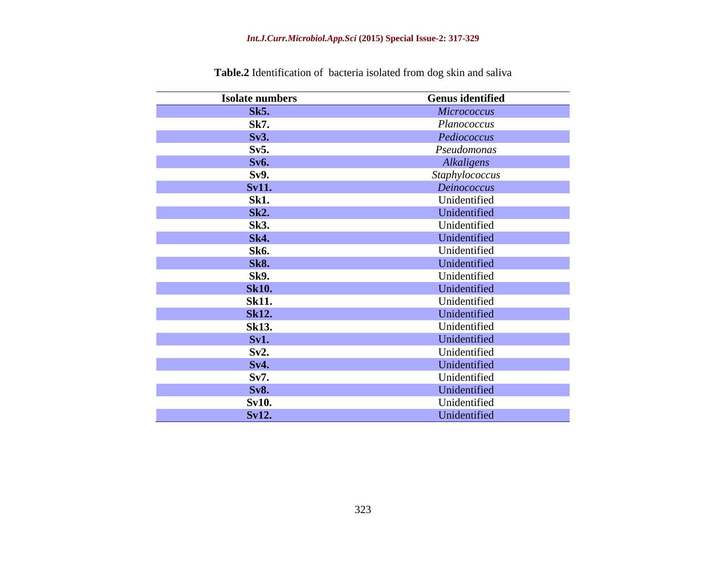| <b>Isolate numbers</b> | <b>Genus identified</b> |
|------------------------|-------------------------|
| <b>Sk5.</b>            | Micrococcus             |
| <b>Sk7.</b>            | Planococcus             |
| Sv3.                   | Pediococcus             |
| Sv5.                   | Pseudomonas             |
| <b>Sv6.</b>            | Alkaligens              |
| Sv9.                   | Staphylococcus          |
| <b>Sv11.</b>           | Deinococcus             |
| <b>Sk1.</b>            | Unidentified            |
| <b>Sk2.</b>            | Unidentified            |
| <b>Sk3.</b>            | Unidentified            |
| <b>Sk4.</b>            | Unidentified            |
| <b>Sk6.</b>            | Unidentified            |
| <b>Sk8.</b>            | Unidentified            |
| <b>Sk9.</b>            | Unidentified            |
| <b>Sk10.</b>           | Unidentified            |
| <b>Sk11.</b>           | Unidentified            |
| <b>Sk12.</b>           | Unidentified            |
| <b>Sk13.</b>           | Unidentified            |
| Sv1.                   | Unidentified            |
| Sv2.                   | Unidentified            |
| Sv4.                   | Unidentified            |
| Sv7.                   | Unidentified            |
| <b>Sv8.</b>            | Unidentified            |
| <b>Sv10.</b>           | Unidentified            |
| <b>Sv12.</b>           | Unidentified            |

**Table.2** Identification of bacteria isolated from dog skin and saliva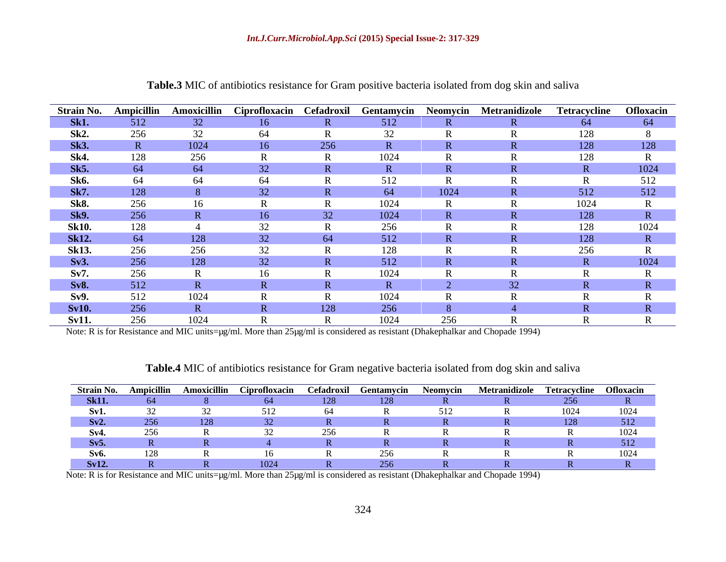|              |     |      |     |                |                 |      | Strain No. Ampicillin Amoxicillin Ciprofloxacin Cefadroxil Gentamycin Neomycin Metranidizole Tetracycline Ofloxacin |      |      |
|--------------|-----|------|-----|----------------|-----------------|------|---------------------------------------------------------------------------------------------------------------------|------|------|
| <b>Sk1.</b>  | 512 | 32   | 16  |                | 512             |      |                                                                                                                     | -64  | 64   |
| Sk2.         | 256 |      | -64 |                |                 |      |                                                                                                                     |      |      |
| <b>Sk3.</b>  |     | 1024 |     | 256            |                 |      |                                                                                                                     | 128  | 128  |
| Sk4.         | 128 | 256  |     |                | 1024            |      |                                                                                                                     |      |      |
| <b>Sk5.</b>  | 64  |      |     |                |                 |      |                                                                                                                     |      | 1024 |
| Sk6.         | 64  |      | -64 |                |                 |      |                                                                                                                     |      | 512  |
| <b>Sk7.</b>  | 128 |      |     |                |                 | 1024 |                                                                                                                     | 512  | 512  |
| Sk8.         | 256 |      |     |                | 1024            |      |                                                                                                                     | 1024 |      |
| <b>Sk9.</b>  | 256 |      |     |                | 1024            |      |                                                                                                                     | 128  |      |
| <b>Sk10.</b> | 128 |      |     |                |                 |      |                                                                                                                     |      |      |
| <b>Sk12.</b> | 64  | 128  |     | 64             | 512             |      |                                                                                                                     | 128  |      |
| <b>Sk13.</b> | 256 | 256  |     |                |                 |      |                                                                                                                     | 256  |      |
| Sv3.         | 256 | 128  |     |                | 512             |      |                                                                                                                     |      | 1024 |
| Sv7.         | 256 |      |     |                | 102             |      |                                                                                                                     |      |      |
| <b>Sv8.</b>  | 512 |      |     |                |                 |      |                                                                                                                     |      |      |
| Sv9.         | 512 | 1024 |     |                | 10 <sup>c</sup> |      |                                                                                                                     |      |      |
| <b>Sv10.</b> | 256 |      |     | <sup>128</sup> |                 |      |                                                                                                                     |      |      |
| <b>Sv11.</b> | 256 |      |     |                | 1024            | 256  |                                                                                                                     |      |      |

**Table.3** MIC of antibiotics resistance for Gram positive bacteria isolated from dog skin and saliva

Note: R is for Resistance and MIC units=µg/ml. More than 25µg/ml is considered as resistant (Dhakephalkar and Chopade 1994)

**Table.4** MIC of antibiotics resistance for Gram negative bacteria isolated from dog skin and saliva

| <b>Strain No. Ampici</b> |  |    | asu Gentamycin <sup>er</sup> |               | vcin Metranidizole Tetracycline Ofloxacin |      |
|--------------------------|--|----|------------------------------|---------------|-------------------------------------------|------|
| <b>Sk11.</b>             |  | CA |                              |               |                                           |      |
|                          |  |    |                              | $\epsilon$ 10 |                                           | 1021 |
| Sv2.                     |  |    |                              |               |                                           |      |
|                          |  |    |                              |               |                                           |      |
| Sv5.                     |  |    |                              |               |                                           |      |
|                          |  |    |                              |               |                                           |      |
| Sv12                     |  |    |                              |               |                                           |      |

Note: R is for Resistance and MIC units=µg/ml. More than 25µg/ml is considered as resistant (Dhakephalkar and Chopade 1994)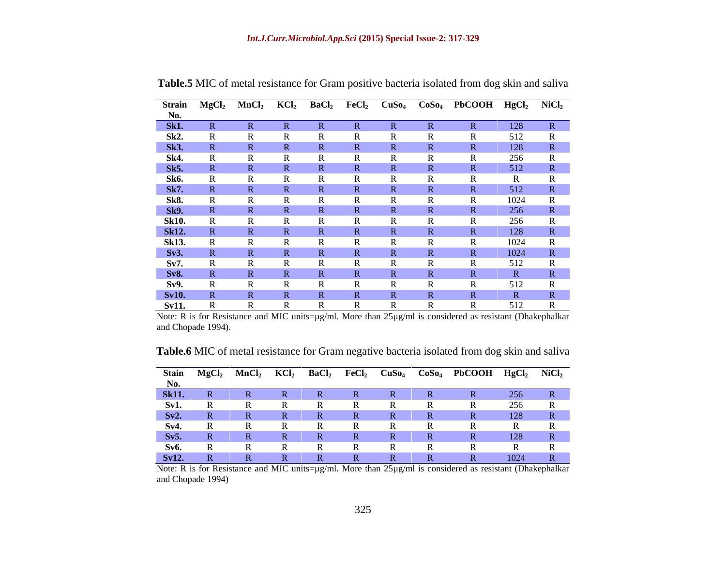|                    |              |              |              |  | Strain MgCl <sub>2</sub> MnCl <sub>2</sub> KCl <sub>2</sub> BaCl <sub>2</sub> FeCl <sub>2</sub> CuSo <sub>4</sub> CoSo <sub>4</sub> PbCOOH HgCl <sub>2</sub> NiCl <sub>2</sub> |      |                              |
|--------------------|--------------|--------------|--------------|--|--------------------------------------------------------------------------------------------------------------------------------------------------------------------------------|------|------------------------------|
|                    |              |              |              |  |                                                                                                                                                                                |      |                              |
| $\frac{No.}{Sk1.}$ |              |              |              |  |                                                                                                                                                                                | 128  | R                            |
|                    |              |              |              |  |                                                                                                                                                                                | 512  |                              |
| Sk2.<br>Sk3.       |              |              |              |  |                                                                                                                                                                                | 128  | $\mathbf{D}$<br>$\mathbf{N}$ |
|                    |              |              |              |  |                                                                                                                                                                                | 256  |                              |
| Sk4.<br>Sk5.       |              |              |              |  |                                                                                                                                                                                | 512  | $\mathbf{D}$<br>$\mathbf{v}$ |
| <b>Sk6.</b>        |              |              |              |  |                                                                                                                                                                                |      |                              |
| <b>Sk7.</b>        |              |              |              |  |                                                                                                                                                                                | 512  | $\mathbb{R}$                 |
| <b>Sk8.</b>        |              |              |              |  |                                                                                                                                                                                | 1024 | - IN                         |
| <b>Sk9.</b>        |              |              |              |  |                                                                                                                                                                                | 256  | R                            |
|                    |              |              |              |  |                                                                                                                                                                                | 256  |                              |
| Sk10.<br>Sk12.     |              |              |              |  |                                                                                                                                                                                | 128  | R                            |
| <b>Sk13.</b>       |              |              |              |  |                                                                                                                                                                                | 1024 | $\overline{R}$               |
|                    |              |              |              |  |                                                                                                                                                                                |      |                              |
| Sv3.               |              |              |              |  |                                                                                                                                                                                | 1024 | R                            |
| Sv7.               |              |              |              |  |                                                                                                                                                                                | 512  |                              |
| <b>Sv8.</b>        |              |              |              |  |                                                                                                                                                                                |      |                              |
| Sv9.               |              |              |              |  |                                                                                                                                                                                | 512  |                              |
| <b>Sv10.</b>       |              |              |              |  |                                                                                                                                                                                |      |                              |
| <b>Sv11.</b>       | $\mathbf{K}$ | $\mathbf{v}$ | $\mathbf{v}$ |  |                                                                                                                                                                                | 512  | $\mathbf{r}$                 |

**Table.5** MIC of metal resistance for Gram positive bacteria isolated from dog skin and saliva

Note: R is for Resistance and MIC units=µg/ml. More than 25µg/ml is considered as resistant (Dhakephalkar and Chopade 1994).

**Table.6** MIC of metal resistance for Gram negative bacteria isolated from dog skin and saliva

|              | Stain MgCl | MnCl <sub>2</sub> | KCl <sub>2</sub> | <b>BaC</b> | FeCl2 | CuSo <sub>4</sub> | $\log_4$ CoSo <sub>4</sub> PbCOOH HgCl <sub>2</sub> NiCl <sub>2</sub> |          |  |
|--------------|------------|-------------------|------------------|------------|-------|-------------------|-----------------------------------------------------------------------|----------|--|
|              |            |                   |                  |            |       |                   |                                                                       |          |  |
| <b>Sk11.</b> |            |                   |                  |            |       |                   |                                                                       |          |  |
| Sv1.         |            |                   |                  |            |       |                   |                                                                       | $\Omega$ |  |
| Sv2.         |            |                   |                  |            |       |                   |                                                                       | 128      |  |
| Sv4          |            |                   |                  |            |       |                   |                                                                       |          |  |
| Sv5.         |            |                   |                  |            |       |                   |                                                                       |          |  |
| Sv6.         |            |                   |                  |            |       |                   |                                                                       |          |  |
| <b>Sv12.</b> |            |                   |                  |            |       |                   |                                                                       | 0.21     |  |

Note: R is for Resistance and MIC units=µg/ml. More than 25µg/ml is considered as resistant (Dhakephalkar and Chopade 1994)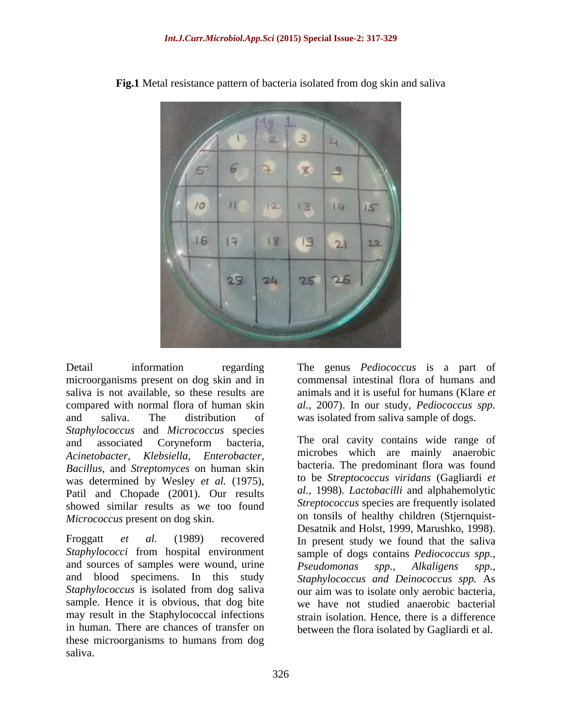

**Fig.1** Metal resistance pattern of bacteria isolated from dog skin and saliva

Detail information regarding The genus *Pediococcus* is a part of microorganisms present on dog skin and in saliva is not available, so these results are compared with normal flora of human skin *al.,* 2007). In our study, *Pediococcus spp.* and saliva. The distribution of was isolated from saliva sample of dogs. *Staphylococcus* and *Micrococcus* species and associated Coryneform bacteria, The oral cavity contains wide range of *Acinetobacter, Klebsiella, Enterobacter,* microbes which are mainly anaerobic *Bacillus,* and *Streptomyces* on human skin was determined by Wesley *et al.* (1975), Patil and Chopade (2001). Our results showed similar results as we too found

*Staphylococci* from hospital environment sample of dogs contains *Pediococcus spp.,* and sources of samples were wound, urine Pseudomonas spp., Alkaligens spp., and blood specimens. In this study *Staphylococcus and Deinococcus spp.* As Staphylococcus is isolated from dog saliva our aim was to isolate only aerobic bacteria, sample. Hence it is obvious, that dog bite may result in the Staphylococcal infections in human. There are chances of transfer on these microorganisms to humans from dog saliva.

commensal intestinal flora of humans and animals and it is useful for humans (Klare *et* 

*Micrococcus* present on dog skin.<br> **Example 1999** Desatnik and Holst, 1999, Marushko, 1998).<br>
Froggatt *et al.* (1989) recovered In present study we found that the saliva The oral cavity contains wide range of bacteria. The predominant flora was found to be *Streptococcus viridans* (Gagliardi *et al.,* 1998)*. Lactobacilli* and alphahemolytic *Streptococcus* species are frequently isolated on tonsils of healthy children (Stjernquist- Desatnik and Holst, 1999, Marushko, 1998). In present study we found that the saliva *Pseudomonas spp., Alkaligens spp.,* we have not studied anaerobic bacterial strain isolation. Hence, there is a difference between the flora isolated by Gagliardi et al.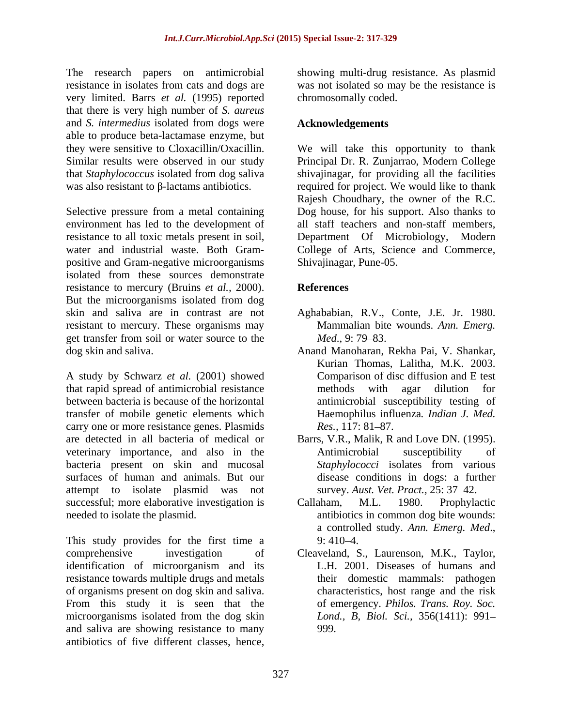The research papers on antimicrobial resistance in isolates from cats and dogs are was not isolated so may be the resistance is very limited. Barrs *et al.* (1995) reported that there is very high number of *S. aureus* and *S. intermedius* isolated from dogs were able to produce beta-lactamase enzyme, but

resistance to all toxic metals present in soil, Department Of Microbiology, Modern positive and Gram-negative microorganisms isolated from these sources demonstrate resistance to mercury (Bruins *et al.,* 2000). But the microorganisms isolated from dog skin and saliva are in contrast are not Aghababian, R.V., Conte, J.E. Jr. 1980. resistant to mercury. These organisms may get transfer from soil or water source to the *Med.*, 9:79–83.

A study by Schwarz *et al.* (2001) showed that rapid spread of antimicrobial resistance between bacteria is because of the horizontal transfer of mobile genetic elements which carry one or more resistance genes. Plasmids Res., 117: 81–87. are detected in all bacteria of medical or Barrs, V.R., Malik, R and Love DN. (1995). veterinary importance, and also in the bacteria present on skin and mucosal *Staphylococci* isolates from various surfaces of human and animals. But our attempt to isolate plasmid was not successful; more elaborative investigation is Callaham, M.L. 1980. Prophylactic needed to isolate the plasmid. antibiotics in common dog bite wounds:

This study provides for the first time a 9:410-4. comprehensive investigation of Cleaveland, S., Laurenson, M.K., Taylor, identification of microorganism and its L.H. 2001. Diseases of humans and identification of microorganism and its resistance towards multiple drugs and metals of organisms present on dog skin and saliva. From this study it is seen that the microorganisms isolated from the dog skin and saliva are showing resistance to many antibiotics of five different classes, hence,

showing multi-drug resistance. As plasmid chromosomally coded.

## **Acknowledgements**

they were sensitive to Cloxacillin/Oxacillin. We will take this opportunity to thank Similar results were observed in our study Principal Dr. R. Zunjarrao, Modern College that *Staphylococcus* isolated from dog saliva shivajinagar, for providing all the facilities was also resistant to  $\beta$ -lactams antibiotics. required for project. We would like to thank Selective pressure from a metal containing Dog house, for his support. Also thanks to environment has led to the development of all staff teachers and non-staff members, water and industrial waste. Both Gram- College of Arts, Science and Commerce, Rajesh Choudhary, the owner of the R.C. Department Of Microbiology, Shivajinagar, Pune-05.

## **References**

- Mammalian bite wounds. *Ann. Emerg. Med.*, 9: 79–83.
- dog skin and saliva. Anand Manoharan, Rekha Pai, V. Shankar, Kurian Thomas, Lalitha, M.K. 2003. Comparison of disc diffusion and E test methods with agar dilution for antimicrobial susceptibility testing of Haemophilus influenza*. Indian J. Med. Res.,* 117: 81–87.
	- Antimicrobial susceptibility of *Staphylococci* isolates from various disease conditions in dogs: a further survey. *Aust. Vet. Pract.*, 25: 37-42.
	- Callaham, M.L. 1980. Prophylactic <sup>a</sup> controlled study. *Ann. Emerg. Med*., 9: 410 4.
	- Cleaveland, S., Laurenson, M.K., Taylor,L.H. 2001. Diseases of humans and their domestic mammals: pathogen characteristics, host range and the risk of emergency. *Philos. Trans. Roy. Soc. Lond., B, Biol. Sci.,* 356(1411): 991 999.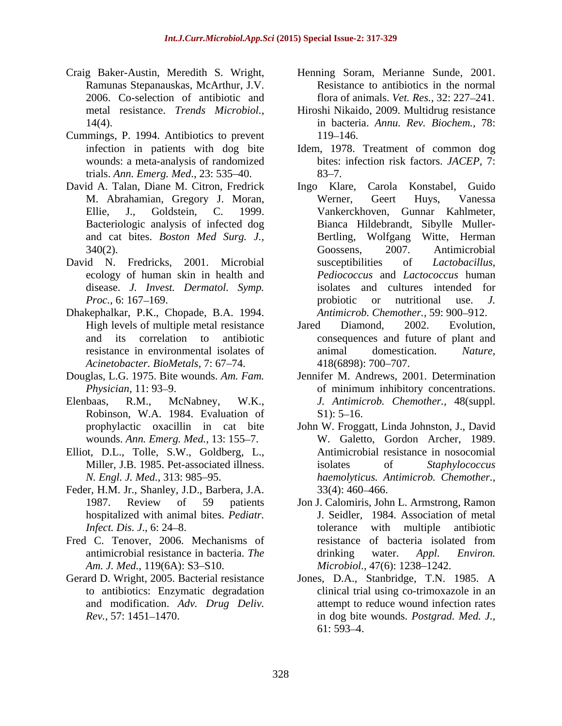- Ramunas Stepanauskas, McArthur, J.V.
- Cummings, P. 1994. Antibiotics to prevent wounds: a meta-analysis of randomized trials. *Ann. Emerg. Med.*, 23: 535–40. 83–7.
- David A. Talan, Diane M. Citron, Fredrick and cat bites. *Boston Med Surg. J.,*
- David N. Fredricks, 2001. Microbial susceptibilities of *Lactobacillus*, ecology of human skin in health and disease. *J. Invest. Dermatol. Symp.*
- Dhakephalkar, P.K., Chopade, B.A. 1994. *Acinetobacter. BioMetals, 7: 67-74.* 418(6898): 700-707.
- 
- Robinson, W.A. 1984. Evaluation of
- Elliot, D.L., Tolle, S.W., Goldberg, L.,
- Feder, H.M. Jr., Shanley, J.D., Barbera, J.A. hospitalized with animal bites. *Pediatr.*
- Fred C. Tenover, 2006. Mechanisms of resistance of bacteria isolated from *Am. J. Med.,* 119(6A): S3–S10.
- Gerard D. Wright, 2005. Bacterial resistance and modification. *Adv. Drug Deliv.*
- Craig Baker-Austin, Meredith S. Wright, Henning Soram, Merianne Sunde, 2001. 2006. Co-selection of antibiotic and flora of animals. *Vet. Res.,* 32: 227 241. Resistance to antibiotics in the normal
	- metal resistance. *Trends Microbiol.,* Hiroshi Nikaido, 2009. Multidrug resistance 14(4). in bacteria. *Annu. Rev. Biochem.,* 78: 119–146.
	- infection in patients with dog bite Idem, 1978. Treatment of common dog bites: infection risk factors. *JACEP,* 7:  $83 - 7.$
	- M. Abrahamian, Gregory J. Moran, Ellie, J., Goldstein, C. 1999. Vankerckhoven, Gunnar Kahlmeter, Bacteriologic analysis of infected dog Bianca Hildebrandt, Sibylle Muller- 340(2). Goossens, 2007. Antimicrobial *Proc.*, 6: 167–169. **probiotic** or nutritional use. *J.* Ingo Klare, Carola Konstabel, Guido Werner, Geert Huys, Vanessa Wolfgang Witte, Herman Goossens, 2007. Antimicrobial susceptibilities of *Lactobacillus, Pediococcus* and *Lactococcus* human isolates and cultures intended for probiotic or nutritional use. *J. Antimicrob. Chemother., 59: 900-912.*
	- High levels of multiple metal resistance Jared Diamond, 2002. Evolution, and its correlation to antibiotic consequences and future of plant and resistance in environmental isolates of animal domestication. Nature. Jared Diamond, 2002. Evolution, animal domestication. *Nature,* 418(6898): 700 707.
- Douglas, L.G. 1975. Bite wounds. *Am. Fam.* Jennifer M. Andrews, 2001. Determination *Physician,* 11: 93 9. of minimum inhibitory concentrations. Elenbaas, R.M., McNabney, W.K., *J. Antimicrob. Chemother.,* 48(suppl.  $S1$ : 5-16.
	- prophylactic oxacillin in cat bite John W. Froggatt, Linda Johnston, J., David wounds. Ann. Emerg. Med., 13: 155–7. W. Galetto, Gordon Archer, 1989. Miller, J.B. 1985. Pet-associated illness. The isolates of Staphylococcus *N. Engl. J. Med.,* 313: 985 95. *haemolyticus. Antimicrob. Chemother.,* Antimicrobial resistance in nosocomial isolates of *Staphylococcus*   $33(4): 460-466.$
	- 1987. Review of 59 patients Jon J. Calomiris, John L. Armstrong, Ramon *Infect. Dis. J.*, 6: 24–8. tolerance with multiple antibiotic antimicrobial resistance in bacteria. *The*  J. Seidler, 1984. Association of metal tolerance with multiple antibiotic resistance of bacteria isolated from drinking water. *Appl. Environ. Microbiol., 47(6): 1238–1242.*
	- to antibiotics: Enzymatic degradation clinical trial using co-trimoxazole in an *Rev.,* 57: 1451 1470. in dog bite wounds. *Postgrad. Med. J.,* Jones, D.A., Stanbridge, T.N. 1985. A attempt to reduce wound infection rates  $61: 593 - 4.$